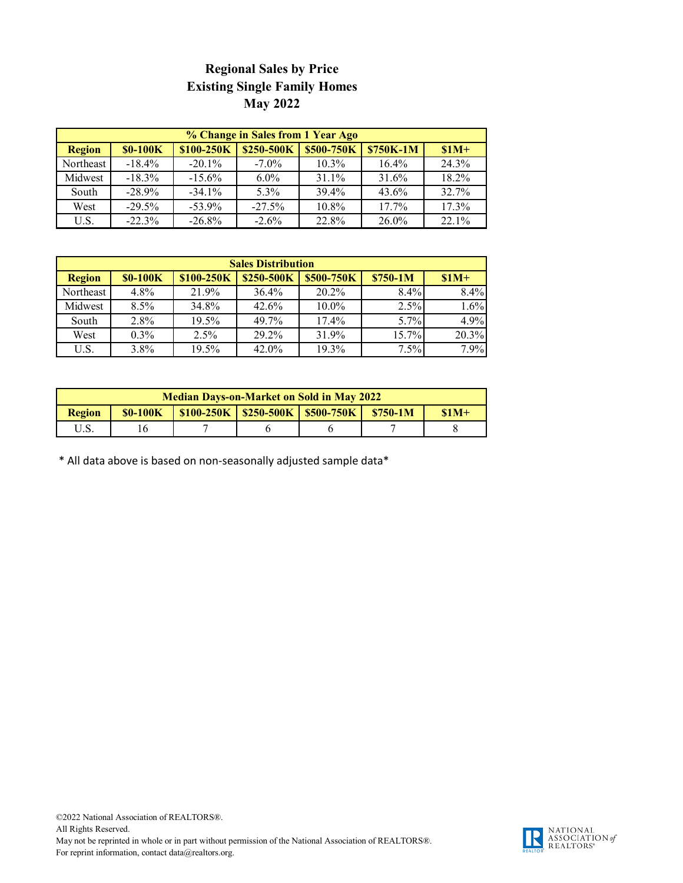## **Regional Sales by Price Existing Single Family Homes May 2022**

| % Change in Sales from 1 Year Ago |                 |            |            |                   |           |          |
|-----------------------------------|-----------------|------------|------------|-------------------|-----------|----------|
| <b>Region</b>                     | <b>\$0-100K</b> | \$100-250K | \$250-500K | <b>\$500-750K</b> | \$750K-1M | $$1M+$   |
| Northeast                         | $-18.4\%$       | $-20.1\%$  | $-7.0\%$   | $10.3\%$          | 16.4%     | 24.3%    |
| Midwest                           | $-18.3\%$       | $-15.6%$   | $6.0\%$    | 31.1%             | 31.6%     | 18.2%    |
| South                             | $-28.9%$        | $-34.1\%$  | $5.3\%$    | 39.4%             | $43.6\%$  | 32.7%    |
| West                              | $-29.5%$        | $-53.9\%$  | $-27.5%$   | 10.8%             | 17.7%     | 17.3%    |
| U.S.                              | $-22.3%$        | $-26.8%$   | $-2.6%$    | 22.8%             | 26.0%     | $22.1\%$ |

| <b>Sales Distribution</b> |                 |            |            |            |           |        |
|---------------------------|-----------------|------------|------------|------------|-----------|--------|
| <b>Region</b>             | <b>\$0-100K</b> | \$100-250K | \$250-500K | \$500-750K | $$750-1M$ | $$1M+$ |
| Northeast                 | 4.8%            | 21.9%      | $36.4\%$   | 20.2%      | 8.4%      | 8.4%   |
| Midwest                   | $8.5\%$         | 34.8%      | 42.6%      | $10.0\%$   | 2.5%      | 1.6%   |
| South                     | $2.8\%$         | 19.5%      | 49.7%      | 17.4%      | 5.7%      | 4.9%   |
| West                      | $0.3\%$         | 2.5%       | 29.2%      | 31.9%      | 15.7%     | 20.3%  |
| U.S.                      | 3.8%            | 19.5%      | $42.0\%$   | 19.3%      | 7.5%      | 7.9%   |

| <b>Median Days-on-Market on Sold in May 2022</b> |                |  |                                       |  |           |        |
|--------------------------------------------------|----------------|--|---------------------------------------|--|-----------|--------|
| <b>Region</b>                                    | <b>S0-100K</b> |  | $$100-250K$   \$250-500K   \$500-750K |  | $$750-1M$ | $$1M+$ |
| U.S.                                             |                |  |                                       |  |           |        |

\* All data above is based on non-seasonally adjusted sample data\*